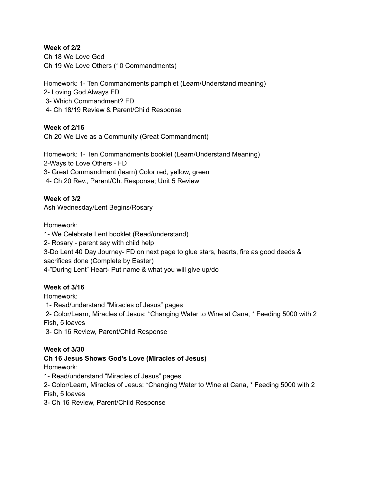### **Week of 2/2**

Ch 18 We Love God Ch 19 We Love Others (10 Commandments)

Homework: 1- Ten Commandments pamphlet (Learn/Understand meaning) 2- Loving God Always FD 3- Which Commandment? FD 4- Ch 18/19 Review & Parent/Child Response

## **Week of 2/16**

Ch 20 We Live as a Community (Great Commandment)

Homework: 1- Ten Commandments booklet (Learn/Understand Meaning) 2-Ways to Love Others - FD 3- Great Commandment (learn) Color red, yellow, green 4- Ch 20 Rev., Parent/Ch. Response; Unit 5 Review

## **Week of 3/2**

Ash Wednesday/Lent Begins/Rosary

Homework:

1- We Celebrate Lent booklet (Read/understand) 2- Rosary - parent say with child help 3-Do Lent 40 Day Journey- FD on next page to glue stars, hearts, fire as good deeds & sacrifices done (Complete by Easter) 4-"During Lent" Heart- Put name & what you will give up/do

## **Week of 3/16**

Homework:

1- Read/understand "Miracles of Jesus" pages

2- Color/Learn, Miracles of Jesus: \*Changing Water to Wine at Cana, \* Feeding 5000 with 2 Fish, 5 loaves

3- Ch 16 Review, Parent/Child Response

## **Week of 3/30**

# **Ch 16 Jesus Shows God's Love (Miracles of Jesus)**

Homework:

1- Read/understand "Miracles of Jesus" pages

2- Color/Learn, Miracles of Jesus: \*Changing Water to Wine at Cana, \* Feeding 5000 with 2 Fish, 5 loaves

3- Ch 16 Review, Parent/Child Response